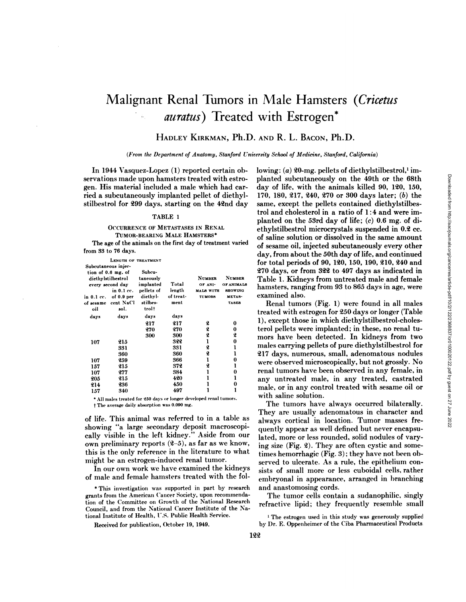# Malignant Renal Tumors in Male Hamsters (Cricetus *auratus) Treated with Estrogen\**

# HADLEY KIRKMAN, Ph.D. AND R. L. BACON, Ph.D.

### *(From the Department of Anatomy, Stanford Unirersity School of Medicine, Stanford, California)*

In 1944 Vasquez-Lopez (1) reported certain ob servations made upon hamsters treated with estro gen. His material included a male which had car ried a subcutaneously implanted pellet of diethylstilbestrol for 299 days, starting on the 42nd day

## TABLE<sub>1</sub>

# OCCURRENCE OF METASTASES IN RENAL TUMOR-BEARING MALE HAMSTERS\*

The age of the animals on the first day of treatment varied from 33 to 76 days.

|                                                              | LENGTH OF TREATMENT |                        |           |                          |                             |
|--------------------------------------------------------------|---------------------|------------------------|-----------|--------------------------|-----------------------------|
|                                                              | Subcutaneous injec- |                        |           |                          |                             |
| tion of 0.6 mg, of<br>diethylstilbestrol<br>every second day |                     | Subcu-                 |           |                          |                             |
|                                                              |                     | taneously<br>implanted | Total     | <b>NUMBER</b><br>OF ANI- | <b>NUMBER</b><br>OF ANIMALS |
|                                                              | in 0.1 cc.          | pellets of             | length    | <b>MALS WITH</b>         | <b>SHOWING</b>              |
| in 0.1 cc.                                                   | of 0.9 per          | diethyl-               | of treat- | <b>TUMORS</b>            | METAS-                      |
| of sesame                                                    | cent NaCl           | stilbes-               | ment      |                          | <b>TASES</b>                |
| oil                                                          | sol.                | trolt                  |           |                          |                             |
| days                                                         | days                | days                   | days      |                          |                             |
|                                                              |                     | 217                    | 217       | 2                        | 0                           |
|                                                              |                     | 270                    | 270       | 2                        | 0                           |
|                                                              |                     | 300                    | 300       | 2                        | 2                           |
| 107                                                          | 215                 |                        | 322       | ı                        | 0                           |
|                                                              | 331                 |                        | 331       | 2                        |                             |
|                                                              | 360                 |                        | 360       | 2                        |                             |
| 107                                                          | 259                 |                        | 366       | 1                        | 0                           |
| 157                                                          | 215                 |                        | 372       | q                        |                             |
| 107                                                          | 277                 |                        | 384       | ı                        | 0                           |
| 205                                                          | 215                 |                        | 420       |                          | 1                           |
| 214                                                          | 236                 |                        | 450       |                          | 0                           |
| 157                                                          | 340                 |                        | 497       | 1                        |                             |
|                                                              |                     |                        |           |                          |                             |

\* All males treated for 250 days or longer developed renal tumors. t The average daily absorption was 0.090 mg.

of life. This animal was referred to in a table as showing "a large secondary deposit macroscopically visible in the left kidney." Aside from our own preliminary reports (2-5), as far as we know, this is the only reference in the literature to what might be an estrogen-induced renal tumor.

In our own work we have examined the kidneys of male and female hamsters treated with the fol-

\*This investigation was supported in part by research grants from the American Cancer Society, upon recommenda tion of the Committee on Growth of the National Research Council, and from the National Cancer Institute of the National Institute of Health, U.S. Public Health Service.

Received for publication, October 19, 1949.

NUMBER NUMBER Table 1. Kidneys from untreated male and female lowing: (a) 20-mg. pellets of diethylstilbestrol,<sup>1</sup> implanted subcutaneously on the 49th or the 68th<br>day of life, with the animals killed 90, 120, 130,  $130$ ,  $170$ ,  $180$ ,  $217$ ,  $240$ ,  $270$  or  $300$  days later; (*b*) the<br>same, except the pellets contained diethylstilbes-<br> day of life, with the animals killed 90, 120, 150, 170, 180, 217, 240, 270 or 300 days later; (b) the same, except the pellets contained diethylstilbes trol and cholesterol in a ratio of 1:4 and were im planted on the 53rd day of life; (c) 0.6 mg. of di ethylstilbestrol microcrystals suspended in 0.2 cc. of saline solution or dissolved in the same amount of sesame oil, injected subcutaneously every other day, from about the 50th day of life, and continued for total periods of 90, 120, 150, 190, 210, 240 and 270 days, or from 322 to 497 days as indicated in hamsters, ranging from 93 to 865 days in age, were examined also.

ment and the same of the same of the same of the same states of the same states in the same states in the same  $\mathbb{R}$  and  $\mathbb{R}$  and  $\mathbb{R}$  and  $\mathbb{R}$  and  $\mathbb{R}$  and  $\mathbb{R}$  and  $\mathbb{R}$  and  $\mathbb{R}$  and  $\mathbb{R}$ treated with estrogen for 250 days or longer (Table 1), except those in which diethylstilbestrol-cholesterol pellets were implanted; in these, no renal tu mors have been detected. In kidneys from two males carrying pellets of pure diethylstilbestrol for 217 days, numerous, small, adenomatous nodules were observed microscopically, but not grossly. No renal tumors have been observed in any female, in any untreated male, in any treated, castrated male, or in any control treated with sesame oil or with saline solution.

> The tumors have always occurred bilaterally. They are usually adenomatous in character and always cortical in location. Tumor masses fre quently appear as well defined but never encapsu lated, more or less rounded, solid nodules of vary ing size (Fig. 2). They are often cystic and some times hemorrhagic (Fig. 3); they have not been ob served to ulcerate. As a rule, the epithelium con sists of small more or less cuboidal cells, rather embryonal in appearance, arranged in branching and anastomosing cords.

> The tumor cells contain a sudanophilic, singly refractive lipid; they frequently resemble small

> <sup>1</sup> The estrogen used in this study was generously supplied by Dr. E. Oppenheimer of the Ciba Pharmaceutical Products.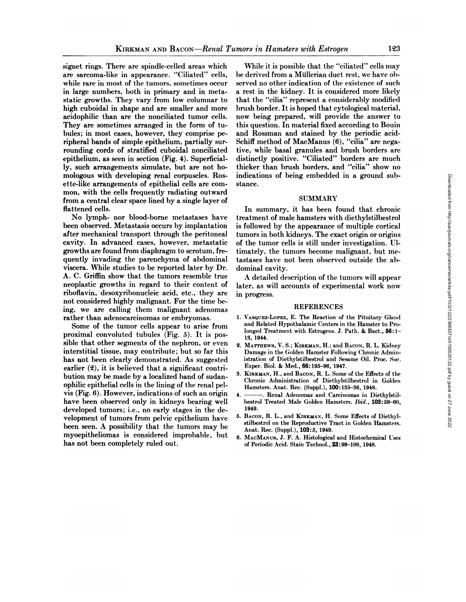signet rings. There are spindle-celled areas which are sarcoma-like in appearance. "Ciliated" cells, while rare in most of the tumors, sometimes occur in large numbers, both in primary and in metastatic growths. They vary from low columnar to that the "cilia" represent a considerably modified high cuboidal in shape and are smaller and more acidophilic than are the nonciliated tumor cells. They are sometimes arranged in the form of tu bules; in most cases, however, they comprise pe ripheral bands of simple epithelium, partially sur rounding cords of stratified cuboidal nonciliated tive, while basal granules and brush borders are<br>epithelium, as seen in section (Fig. 4). Superficial- distinctly positive. "Ciliated" borders are much epithelium, as seen in section  $(Fig. 4)$ . Superficially, such arrangements simulate, but are not ho mologous with developing renal corpuscles. Ros ette-like arrangements of epithelial cells are com mon, with the cells frequently radiating outward from a central clear space lined by a single layer of flattened cells.

No lymph- nor blood-borne metastases have been observed. Metastasis occurs by implantation after mechanical transport through the peritoneal cavity. In advanced cases, however, metastatic growths are found from diaphragm to scrotum, fre quently invading the parenchyma of abdominal viscera. While studies to be reported later by Dr. A. C. Griffin show that the tumors resemble true neoplastic growths in regard to their content of riboflavin, desoxyribonucleic acid, etc., they are not considered highly malignant. For the time be ing, we are calling them malignant adenomas rather than adenocarcinomas or embryomas.

Some of the tumor cells appear to arise from proximal convoluted tubules (Fig. 5). It is pos sible that other segments of the nephron, or even  $g$ interstitial tissue, may contribute; but so far this has not been clearly demonstrated. As suggested earlier (2), it is believed that a significant contri bution may be made by a localized band of sudanophilic epithelial cells in the lining of the renal pel vis (Fig. 6). However, indications of such an origin have been observed only in kidneys bearing well developed tumors; i.e., no early stages in the de velopment of tumors from pelvic epithelium have been seen. A possibility that the tumors may be myoepitheliomas is considered improbable, but has not been completely ruled out.

While it is possible that the "ciliated" cells may be derived from a Mullerian duct rest, we have ob served no other indication of the existence of such a rest in the kidney. It is considered more likely brush border. It is hoped that cytological material, now being prepared, will provide the answer to this question. In material fixed according to Bouin and Rossman and stained by the periodic acid-Schiff method of MacManus (6), "cilia" are negative, while basal granules and brush borders are thicker than brush borders, and "cilia" show no indications of being embedded in a ground sub stance.

## SUMMARY

In summary, it has been found that chronic treatment of male hamsters with diethylstilbestrol is followed by the appearance of multiple cortical tumors in both kidneys. The exact origin or origins of the tumor cells is still under investigation. Ul Indications of being embedded in a ground sub-<br>stance.<br>SUMMARY<br>In summary, it has been found that chronic<br>treatment of male hamsters with diethylstilbestrol<br>is followed by the appearance of multiple cortical<br>stances in bot tastases have not been observed outside the ab dominal cavity.

A detailed description of the tumors will appear later, as will accounts of experimental work now in progress.

### REFERENCES

- 1. VASQUEZ-LOPEZ, E. The Reaction of the Pituitary Gland and Related Hypothalamic Centers in the Hamster to Pro longed Treatment with Estrogens. J. Path. & Bact., 66:1- 13, 1944.
- MATTHEWS, V. S.; KIRKMAN, H.; and BACON, R. L. Kidney Damage in the Golden Hamster Following Chronic Administration of Diethylstilbestrol and Sesame Oil. Proc. Soc. Exper. Biol. & Med., 66:195-96, 1947.
- 3. KIRKMAN,H., and BACON,R. L. Some of the Effects of the Chronic Administration of Diethylstilbestrol in Golden Hamsters. Anat. Ree. (Suppl.), 100:135-36, 1948.
- --------. Renal Adenomas and Carcinomas in Diethylstil-<br>bestrol Treated Male Golden Hamsters. Ibid., 103:59-60, 1949.
- 5. BACON, R. L., and KIRKMAN, H. Some Effects of Diethylstilbestrol on the Reproductive Tract in Golden Hamsters. Anat. Ree. (Suppl.), 103:5, 1949.
- 6. MACMANUS,J. F. A. Histológica!and Histochemical Uses of Periodic Acid. Stain Technol., 23:99-108, 1948.